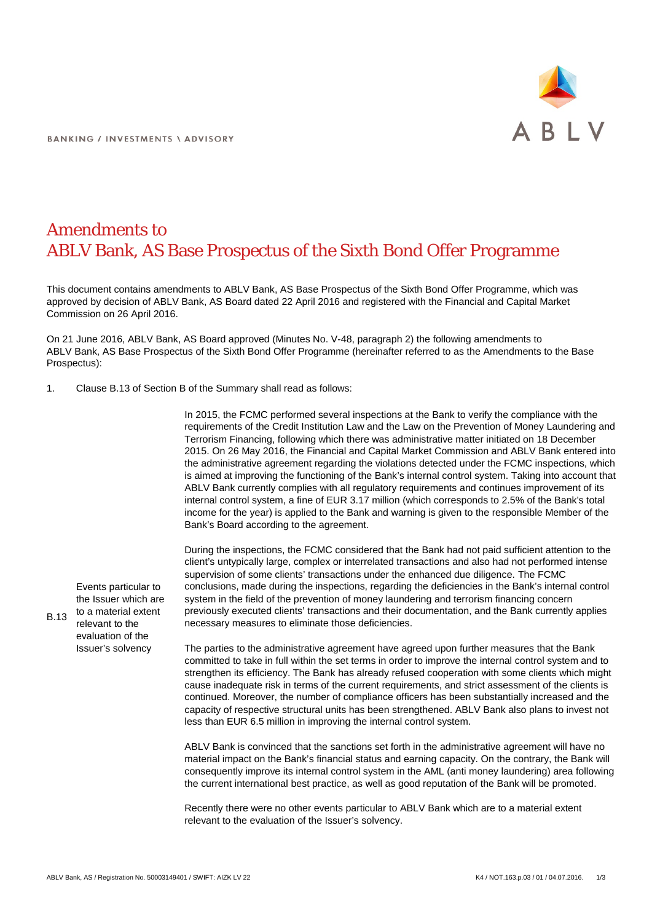

## Amendments to ABLV Bank, AS Base Prospectus of the Sixth Bond Offer Programme

This document contains amendments to ABLV Bank, AS Base Prospectus of the Sixth Bond Offer Programme, which was approved by decision of ABLV Bank, AS Board dated 22 April 2016 and registered with the Financial and Capital Market Commission on 26 April 2016.

On 21 June 2016, ABLV Bank, AS Board approved (Minutes No. V-48, paragraph 2) the following amendments to ABLV Bank, AS Base Prospectus of the Sixth Bond Offer Programme (hereinafter referred to as the Amendments to the Base Prospectus):

1. Clause B.13 of Section B of the Summary shall read as follows:

In 2015, the FCMC performed several inspections at the Bank to verify the compliance with the requirements of the Credit Institution Law and the Law on the Prevention of Money Laundering and Terrorism Financing, following which there was administrative matter initiated on 18 December 2015. On 26 May 2016, the Financial and Capital Market Commission and ABLV Bank entered into the administrative agreement regarding the violations detected under the FCMC inspections, which is aimed at improving the functioning of the Bank's internal control system. Taking into account that ABLV Bank currently complies with all regulatory requirements and continues improvement of its internal control system, a fine of EUR 3.17 million (which corresponds to 2.5% of the Bank's total income for the year) is applied to the Bank and warning is given to the responsible Member of the Bank's Board according to the agreement.

During the inspections, the FCMC considered that the Bank had not paid sufficient attention to the client's untypically large, complex or interrelated transactions and also had not performed intense supervision of some clients' transactions under the enhanced due diligence. The FCMC conclusions, made during the inspections, regarding the deficiencies in the Bank's internal control system in the field of the prevention of money laundering and terrorism financing concern previously executed clients' transactions and their documentation, and the Bank currently applies necessary measures to eliminate those deficiencies.

The parties to the administrative agreement have agreed upon further measures that the Bank committed to take in full within the set terms in order to improve the internal control system and to strengthen its efficiency. The Bank has already refused cooperation with some clients which might cause inadequate risk in terms of the current requirements, and strict assessment of the clients is continued. Moreover, the number of compliance officers has been substantially increased and the capacity of respective structural units has been strengthened. ABLV Bank also plans to invest not less than EUR 6.5 million in improving the internal control system.

ABLV Bank is convinced that the sanctions set forth in the administrative agreement will have no material impact on the Bank's financial status and earning capacity. On the contrary, the Bank will consequently improve its internal control system in the AML (anti money laundering) area following the current international best practice, as well as good reputation of the Bank will be promoted.

Recently there were no other events particular to ABLV Bank which are to a material extent relevant to the evaluation of the Issuer's solvency.

B.13 Events particular to the Issuer which are to a material extent relevant to the evaluation of the Issuer's solvency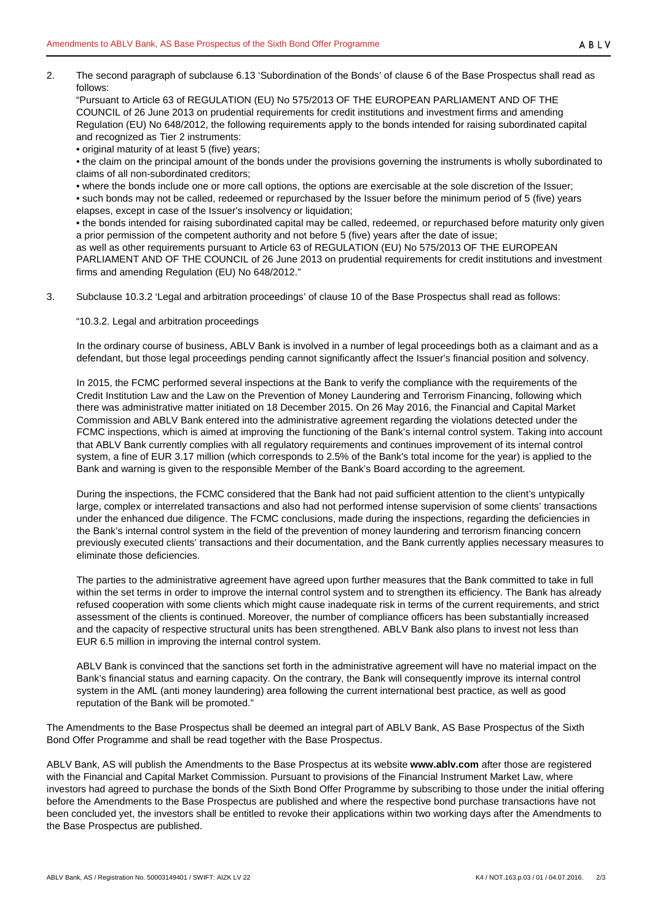2. The second paragraph of subclause 6.13 'Subordination of the Bonds' of clause 6 of the Base Prospectus shall read as follows:

"Pursuant to Article 63 of REGULATION (EU) No 575/2013 OF THE EUROPEAN PARLIAMENT AND OF THE COUNCIL of 26 June 2013 on prudential requirements for credit institutions and investment firms and amending Regulation (EU) No 648/2012, the following requirements apply to the bonds intended for raising subordinated capital and recognized as Tier 2 instruments:

• original maturity of at least 5 (five) years;

• the claim on the principal amount of the bonds under the provisions governing the instruments is wholly subordinated to claims of all non-subordinated creditors;

• where the bonds include one or more call options, the options are exercisable at the sole discretion of the Issuer;

• such bonds may not be called, redeemed or repurchased by the Issuer before the minimum period of 5 (five) years elapses, except in case of the Issuer's insolvency or liquidation;

• the bonds intended for raising subordinated capital may be called, redeemed, or repurchased before maturity only given a prior permission of the competent authority and not before 5 (five) years after the date of issue;

as well as other requirements pursuant to Article 63 of REGULATION (EU) No 575/2013 OF THE EUROPEAN PARLIAMENT AND OF THE COUNCIL of 26 June 2013 on prudential requirements for credit institutions and investment firms and amending Regulation (EU) No 648/2012."

3. Subclause 10.3.2 'Legal and arbitration proceedings' of clause 10 of the Base Prospectus shall read as follows:

"10.3.2. Legal and arbitration proceedings

In the ordinary course of business, ABLV Bank is involved in a number of legal proceedings both as a claimant and as a defendant, but those legal proceedings pending cannot significantly affect the Issuer's financial position and solvency.

In 2015, the FCMC performed several inspections at the Bank to verify the compliance with the requirements of the Credit Institution Law and the Law on the Prevention of Money Laundering and Terrorism Financing, following which there was administrative matter initiated on 18 December 2015. On 26 May 2016, the Financial and Capital Market Commission and ABLV Bank entered into the administrative agreement regarding the violations detected under the FCMC inspections, which is aimed at improving the functioning of the Bank's internal control system. Taking into account that ABLV Bank currently complies with all regulatory requirements and continues improvement of its internal control system, a fine of EUR 3.17 million (which corresponds to 2.5% of the Bank's total income for the year) is applied to the Bank and warning is given to the responsible Member of the Bank's Board according to the agreement.

During the inspections, the FCMC considered that the Bank had not paid sufficient attention to the client's untypically large, complex or interrelated transactions and also had not performed intense supervision of some clients' transactions under the enhanced due diligence. The FCMC conclusions, made during the inspections, regarding the deficiencies in the Bank's internal control system in the field of the prevention of money laundering and terrorism financing concern previously executed clients' transactions and their documentation, and the Bank currently applies necessary measures to eliminate those deficiencies.

The parties to the administrative agreement have agreed upon further measures that the Bank committed to take in full within the set terms in order to improve the internal control system and to strengthen its efficiency. The Bank has already refused cooperation with some clients which might cause inadequate risk in terms of the current requirements, and strict assessment of the clients is continued. Moreover, the number of compliance officers has been substantially increased and the capacity of respective structural units has been strengthened. ABLV Bank also plans to invest not less than EUR 6.5 million in improving the internal control system.

ABLV Bank is convinced that the sanctions set forth in the administrative agreement will have no material impact on the Bank's financial status and earning capacity. On the contrary, the Bank will consequently improve its internal control system in the AML (anti money laundering) area following the current international best practice, as well as good reputation of the Bank will be promoted."

The Amendments to the Base Prospectus shall be deemed an integral part of ABLV Bank, AS Base Prospectus of the Sixth Bond Offer Programme and shall be read together with the Base Prospectus.

ABLV Bank, AS will publish the Amendments to the Base Prospectus at its website **www.ablv.com** after those are registered with the Financial and Capital Market Commission. Pursuant to provisions of the Financial Instrument Market Law, where investors had agreed to purchase the bonds of the Sixth Bond Offer Programme by subscribing to those under the initial offering before the Amendments to the Base Prospectus are published and where the respective bond purchase transactions have not been concluded yet, the investors shall be entitled to revoke their applications within two working days after the Amendments to the Base Prospectus are published.